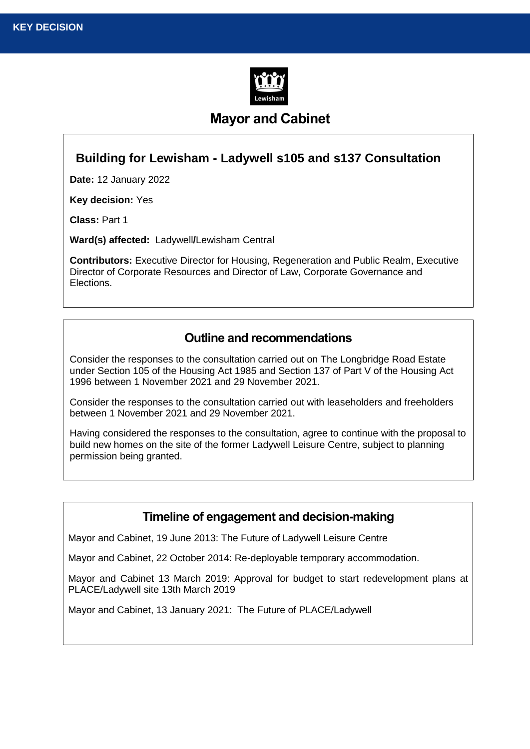

# **Mayor and Cabinet**

#### **Building for Lewisham - Ladywell s105 and s137 Consultation**

**Date:** 12 January 2022

**Key decision:** Yes

**Class:** Part 1

**Ward(s) affected:** Ladywell**/**Lewisham Central

**Contributors:** Executive Director for Housing, Regeneration and Public Realm, Executive Director of Corporate Resources and Director of Law, Corporate Governance and Elections.

#### **Outline and recommendations**

Consider the responses to the consultation carried out on The Longbridge Road Estate under Section 105 of the Housing Act 1985 and Section 137 of Part V of the Housing Act 1996 between 1 November 2021 and 29 November 2021.

Consider the responses to the consultation carried out with leaseholders and freeholders between 1 November 2021 and 29 November 2021.

Having considered the responses to the consultation, agree to continue with the proposal to build new homes on the site of the former Ladywell Leisure Centre, subject to planning permission being granted.

#### **Timeline of engagement and decision-making**

Mayor and Cabinet, 19 June 2013: The Future of Ladywell Leisure Centre

Mayor and Cabinet, 22 October 2014: Re-deployable temporary accommodation.

Mayor and Cabinet 13 March 2019: Approval for budget to start redevelopment plans at PLACE/Ladywell site 13th March 2019

Mayor and Cabinet, 13 January 2021: The Future of PLACE/Ladywell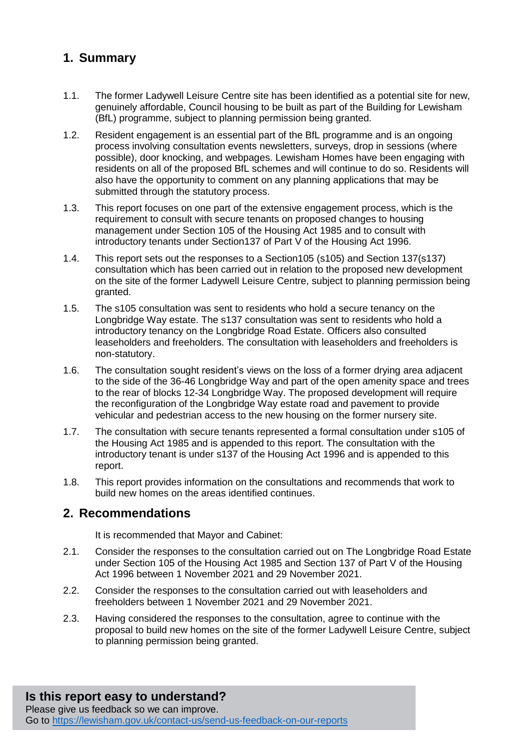# **1. Summary**

- 1.1. The former Ladywell Leisure Centre site has been identified as a potential site for new, genuinely affordable, Council housing to be built as part of the Building for Lewisham (BfL) programme, subject to planning permission being granted.
- 1.2. Resident engagement is an essential part of the BfL programme and is an ongoing process involving consultation events newsletters, surveys, drop in sessions (where possible), door knocking, and webpages. Lewisham Homes have been engaging with residents on all of the proposed BfL schemes and will continue to do so. Residents will also have the opportunity to comment on any planning applications that may be submitted through the statutory process.
- 1.3. This report focuses on one part of the extensive engagement process, which is the requirement to consult with secure tenants on proposed changes to housing management under Section 105 of the Housing Act 1985 and to consult with introductory tenants under Section137 of Part V of the Housing Act 1996.
- 1.4. This report sets out the responses to a Section105 (s105) and Section 137(s137) consultation which has been carried out in relation to the proposed new development on the site of the former Ladywell Leisure Centre, subject to planning permission being granted.
- 1.5. The s105 consultation was sent to residents who hold a secure tenancy on the Longbridge Way estate. The s137 consultation was sent to residents who hold a introductory tenancy on the Longbridge Road Estate. Officers also consulted leaseholders and freeholders. The consultation with leaseholders and freeholders is non-statutory.
- 1.6. The consultation sought resident's views on the loss of a former drying area adjacent to the side of the 36-46 Longbridge Way and part of the open amenity space and trees to the rear of blocks 12-34 Longbridge Way. The proposed development will require the reconfiguration of the Longbridge Way estate road and pavement to provide vehicular and pedestrian access to the new housing on the former nursery site.
- 1.7. The consultation with secure tenants represented a formal consultation under s105 of the Housing Act 1985 and is appended to this report. The consultation with the introductory tenant is under s137 of the Housing Act 1996 and is appended to this report.
- 1.8. This report provides information on the consultations and recommends that work to build new homes on the areas identified continues.

#### **2. Recommendations**

It is recommended that Mayor and Cabinet:

- 2.1. Consider the responses to the consultation carried out on The Longbridge Road Estate under Section 105 of the Housing Act 1985 and Section 137 of Part V of the Housing Act 1996 between 1 November 2021 and 29 November 2021.
- 2.2. Consider the responses to the consultation carried out with leaseholders and freeholders between 1 November 2021 and 29 November 2021.
- 2.3. Having considered the responses to the consultation, agree to continue with the proposal to build new homes on the site of the former Ladywell Leisure Centre, subject to planning permission being granted.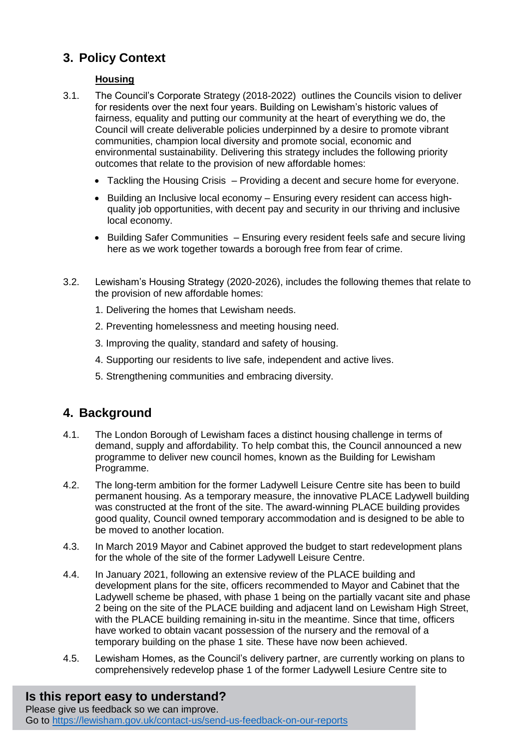# **3. Policy Context**

#### **Housing**

- 3.1. The Council's Corporate Strategy (2018-2022) outlines the Councils vision to deliver for residents over the next four years. Building on Lewisham's historic values of fairness, equality and putting our community at the heart of everything we do, the Council will create deliverable policies underpinned by a desire to promote vibrant communities, champion local diversity and promote social, economic and environmental sustainability. Delivering this strategy includes the following priority outcomes that relate to the provision of new affordable homes:
	- Tackling the Housing Crisis Providing a decent and secure home for everyone.
	- Building an Inclusive local economy Ensuring every resident can access highquality job opportunities, with decent pay and security in our thriving and inclusive local economy.
	- Building Safer Communities Ensuring every resident feels safe and secure living here as we work together towards a borough free from fear of crime.
- 3.2. Lewisham's Housing Strategy (2020-2026), includes the following themes that relate to the provision of new affordable homes:
	- 1. Delivering the homes that Lewisham needs.
	- 2. Preventing homelessness and meeting housing need.
	- 3. Improving the quality, standard and safety of housing.
	- 4. Supporting our residents to live safe, independent and active lives.
	- 5. Strengthening communities and embracing diversity.

## **4. Background**

- 4.1. The London Borough of Lewisham faces a distinct housing challenge in terms of demand, supply and affordability. To help combat this, the Council announced a new programme to deliver new council homes, known as the Building for Lewisham Programme.
- 4.2. The long-term ambition for the former Ladywell Leisure Centre site has been to build permanent housing. As a temporary measure, the innovative PLACE Ladywell building was constructed at the front of the site. The award-winning PLACE building provides good quality, Council owned temporary accommodation and is designed to be able to be moved to another location.
- 4.3. In March 2019 Mayor and Cabinet approved the budget to start redevelopment plans for the whole of the site of the former Ladywell Leisure Centre.
- 4.4. In January 2021, following an extensive review of the PLACE building and development plans for the site, officers recommended to Mayor and Cabinet that the Ladywell scheme be phased, with phase 1 being on the partially vacant site and phase 2 being on the site of the PLACE building and adjacent land on Lewisham High Street, with the PLACE building remaining in-situ in the meantime. Since that time, officers have worked to obtain vacant possession of the nursery and the removal of a temporary building on the phase 1 site. These have now been achieved.
- 4.5. Lewisham Homes, as the Council's delivery partner, are currently working on plans to comprehensively redevelop phase 1 of the former Ladywell Lesiure Centre site to

# **Is this report easy to understand?**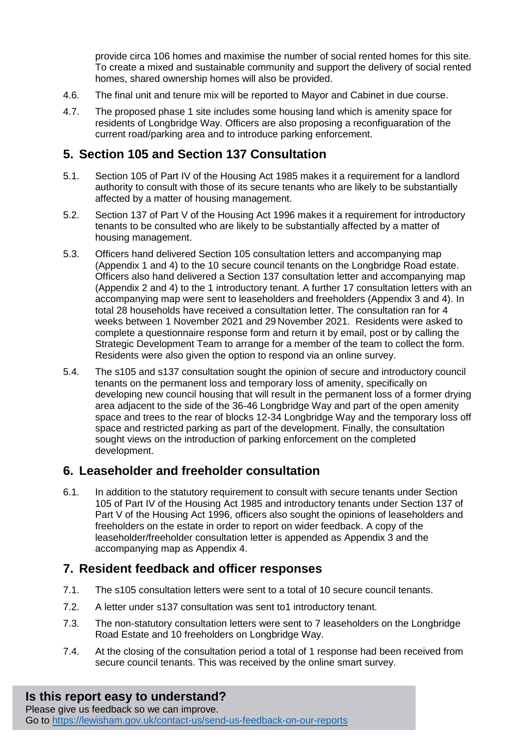provide circa 106 homes and maximise the number of social rented homes for this site. To create a mixed and sustainable community and support the delivery of social rented homes, shared ownership homes will also be provided.

- 4.6. The final unit and tenure mix will be reported to Mayor and Cabinet in due course.
- 4.7. The proposed phase 1 site includes some housing land which is amenity space for residents of Longbridge Way. Officers are also proposing a reconfiguaration of the current road/parking area and to introduce parking enforcement.

#### **5. Section 105 and Section 137 Consultation**

- 5.1. Section 105 of Part IV of the Housing Act 1985 makes it a requirement for a landlord authority to consult with those of its secure tenants who are likely to be substantially affected by a matter of housing management.
- 5.2. Section 137 of Part V of the Housing Act 1996 makes it a requirement for introductory tenants to be consulted who are likely to be substantially affected by a matter of housing management.
- 5.3. Officers hand delivered Section 105 consultation letters and accompanying map (Appendix 1 and 4) to the 10 secure council tenants on the Longbridge Road estate. Officers also hand delivered a Section 137 consultation letter and accompanying map (Appendix 2 and 4) to the 1 introductory tenant. A further 17 consultation letters with an accompanying map were sent to leaseholders and freeholders (Appendix 3 and 4). In total 28 households have received a consultation letter. The consultation ran for 4 weeks between 1 November 2021 and 29 November 2021. Residents were asked to complete a questionnaire response form and return it by email, post or by calling the Strategic Development Team to arrange for a member of the team to collect the form. Residents were also given the option to respond via an online survey.
- 5.4. The s105 and s137 consultation sought the opinion of secure and introductory council tenants on the permanent loss and temporary loss of amenity, specifically on developing new council housing that will result in the permanent loss of a former drying area adjacent to the side of the 36-46 Longbridge Way and part of the open amenity space and trees to the rear of blocks 12-34 Longbridge Way and the temporary loss off space and restricted parking as part of the development. Finally, the consultation sought views on the introduction of parking enforcement on the completed development.

#### **6. Leaseholder and freeholder consultation**

6.1. In addition to the statutory requirement to consult with secure tenants under Section 105 of Part IV of the Housing Act 1985 and introductory tenants under Section 137 of Part V of the Housing Act 1996, officers also sought the opinions of leaseholders and freeholders on the estate in order to report on wider feedback. A copy of the leaseholder/freeholder consultation letter is appended as Appendix 3 and the accompanying map as Appendix 4.

#### **7. Resident feedback and officer responses**

- 7.1. The s105 consultation letters were sent to a total of 10 secure council tenants.
- 7.2. A letter under s137 consultation was sent to1 introductory tenant.
- 7.3. The non-statutory consultation letters were sent to 7 leaseholders on the Longbridge Road Estate and 10 freeholders on Longbridge Way.
- 7.4. At the closing of the consultation period a total of 1 response had been received from secure council tenants. This was received by the online smart survey.

# **Is this report easy to understand?**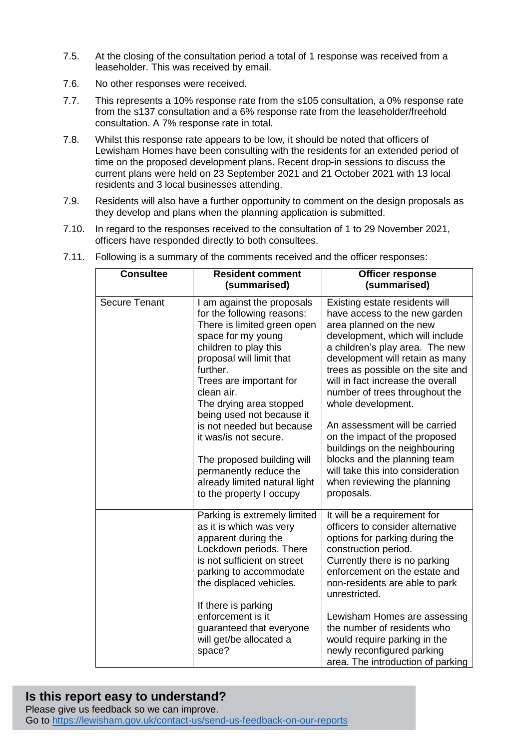- 7.5. At the closing of the consultation period a total of 1 response was received from a leaseholder. This was received by email.
- 7.6. No other responses were received.
- 7.7. This represents a 10% response rate from the s105 consultation, a 0% response rate from the s137 consultation and a 6% response rate from the leaseholder/freehold consultation. A 7% response rate in total.
- 7.8. Whilst this response rate appears to be low, it should be noted that officers of Lewisham Homes have been consulting with the residents for an extended period of time on the proposed development plans. Recent drop-in sessions to discuss the current plans were held on 23 September 2021 and 21 October 2021 with 13 local residents and 3 local businesses attending.
- 7.9. Residents will also have a further opportunity to comment on the design proposals as they develop and plans when the planning application is submitted.
- 7.10. In regard to the responses received to the consultation of 1 to 29 November 2021, officers have responded directly to both consultees.

| <b>Consultee</b>     | <b>Resident comment</b>                                                                                                                                                                                                                                                                                                                                                                                                                                    | <b>Officer response</b>                                                                                                                                                                                                                                                                                                                                                                                                                                                                                                                                    |
|----------------------|------------------------------------------------------------------------------------------------------------------------------------------------------------------------------------------------------------------------------------------------------------------------------------------------------------------------------------------------------------------------------------------------------------------------------------------------------------|------------------------------------------------------------------------------------------------------------------------------------------------------------------------------------------------------------------------------------------------------------------------------------------------------------------------------------------------------------------------------------------------------------------------------------------------------------------------------------------------------------------------------------------------------------|
|                      | (summarised)                                                                                                                                                                                                                                                                                                                                                                                                                                               | (summarised)                                                                                                                                                                                                                                                                                                                                                                                                                                                                                                                                               |
| <b>Secure Tenant</b> | I am against the proposals<br>for the following reasons:<br>There is limited green open<br>space for my young<br>children to play this<br>proposal will limit that<br>further.<br>Trees are important for<br>clean air.<br>The drying area stopped<br>being used not because it<br>is not needed but because<br>it was/is not secure.<br>The proposed building will<br>permanently reduce the<br>already limited natural light<br>to the property I occupy | Existing estate residents will<br>have access to the new garden<br>area planned on the new<br>development, which will include<br>a children's play area. The new<br>development will retain as many<br>trees as possible on the site and<br>will in fact increase the overall<br>number of trees throughout the<br>whole development.<br>An assessment will be carried<br>on the impact of the proposed<br>buildings on the neighbouring<br>blocks and the planning team<br>will take this into consideration<br>when reviewing the planning<br>proposals. |
|                      | Parking is extremely limited<br>as it is which was very<br>apparent during the<br>Lockdown periods. There<br>is not sufficient on street<br>parking to accommodate<br>the displaced vehicles.<br>If there is parking<br>enforcement is it<br>guaranteed that everyone<br>will get/be allocated a<br>space?                                                                                                                                                 | It will be a requirement for<br>officers to consider alternative<br>options for parking during the<br>construction period.<br>Currently there is no parking<br>enforcement on the estate and<br>non-residents are able to park<br>unrestricted.<br>Lewisham Homes are assessing<br>the number of residents who<br>would require parking in the<br>newly reconfigured parking<br>area. The introduction of parking                                                                                                                                          |

7.11. Following is a summary of the comments received and the officer responses:

#### **Is this report easy to understand?**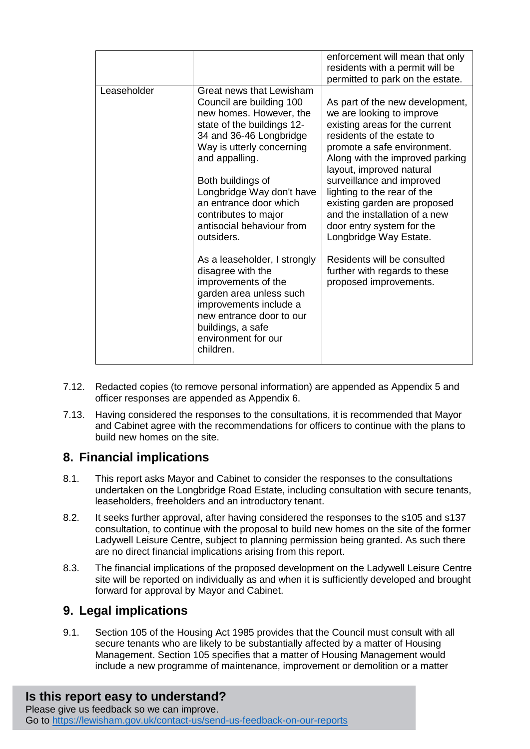|             |                                                                                                                                                                                                                                                                                                                                        | enforcement will mean that only<br>residents with a permit will be<br>permitted to park on the estate.                                                                                                                                                                                                                                                                                                         |
|-------------|----------------------------------------------------------------------------------------------------------------------------------------------------------------------------------------------------------------------------------------------------------------------------------------------------------------------------------------|----------------------------------------------------------------------------------------------------------------------------------------------------------------------------------------------------------------------------------------------------------------------------------------------------------------------------------------------------------------------------------------------------------------|
| Leaseholder | Great news that Lewisham<br>Council are building 100<br>new homes. However, the<br>state of the buildings 12-<br>34 and 36-46 Longbridge<br>Way is utterly concerning<br>and appalling.<br>Both buildings of<br>Longbridge Way don't have<br>an entrance door which<br>contributes to major<br>antisocial behaviour from<br>outsiders. | As part of the new development,<br>we are looking to improve<br>existing areas for the current<br>residents of the estate to<br>promote a safe environment.<br>Along with the improved parking<br>layout, improved natural<br>surveillance and improved<br>lighting to the rear of the<br>existing garden are proposed<br>and the installation of a new<br>door entry system for the<br>Longbridge Way Estate. |
|             | As a leaseholder, I strongly<br>disagree with the<br>improvements of the<br>garden area unless such<br>improvements include a<br>new entrance door to our<br>buildings, a safe<br>environment for our<br>children.                                                                                                                     | Residents will be consulted<br>further with regards to these<br>proposed improvements.                                                                                                                                                                                                                                                                                                                         |

- 7.12. Redacted copies (to remove personal information) are appended as Appendix 5 and officer responses are appended as Appendix 6.
- 7.13. Having considered the responses to the consultations, it is recommended that Mayor and Cabinet agree with the recommendations for officers to continue with the plans to build new homes on the site.

## **8. Financial implications**

- 8.1. This report asks Mayor and Cabinet to consider the responses to the consultations undertaken on the Longbridge Road Estate, including consultation with secure tenants, leaseholders, freeholders and an introductory tenant.
- 8.2. It seeks further approval, after having considered the responses to the s105 and s137 consultation, to continue with the proposal to build new homes on the site of the former Ladywell Leisure Centre, subject to planning permission being granted. As such there are no direct financial implications arising from this report.
- 8.3. The financial implications of the proposed development on the Ladywell Leisure Centre site will be reported on individually as and when it is sufficiently developed and brought forward for approval by Mayor and Cabinet.

## **9. Legal implications**

9.1. Section 105 of the Housing Act 1985 provides that the Council must consult with all secure tenants who are likely to be substantially affected by a matter of Housing Management. Section 105 specifies that a matter of Housing Management would include a new programme of maintenance, improvement or demolition or a matter

# **Is this report easy to understand?**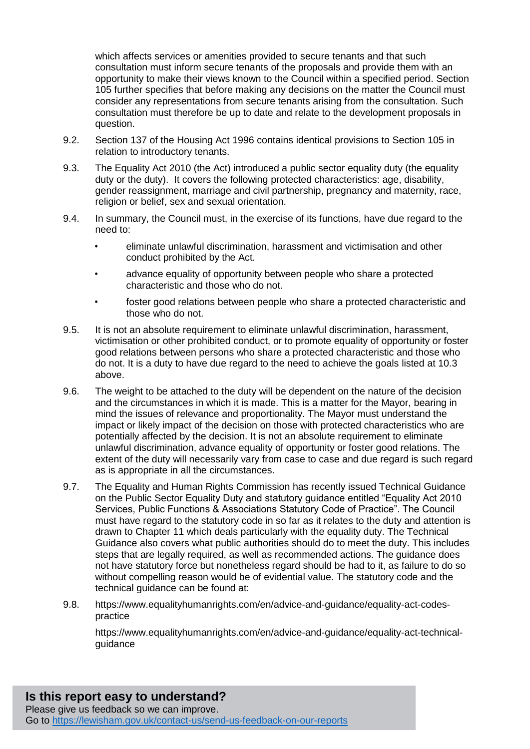which affects services or amenities provided to secure tenants and that such consultation must inform secure tenants of the proposals and provide them with an opportunity to make their views known to the Council within a specified period. Section 105 further specifies that before making any decisions on the matter the Council must consider any representations from secure tenants arising from the consultation. Such consultation must therefore be up to date and relate to the development proposals in question.

- 9.2. Section 137 of the Housing Act 1996 contains identical provisions to Section 105 in relation to introductory tenants.
- 9.3. The Equality Act 2010 (the Act) introduced a public sector equality duty (the equality duty or the duty). It covers the following protected characteristics: age, disability, gender reassignment, marriage and civil partnership, pregnancy and maternity, race, religion or belief, sex and sexual orientation.
- 9.4. In summary, the Council must, in the exercise of its functions, have due regard to the need to:
	- eliminate unlawful discrimination, harassment and victimisation and other conduct prohibited by the Act.
	- advance equality of opportunity between people who share a protected characteristic and those who do not.
	- foster good relations between people who share a protected characteristic and those who do not.
- 9.5. It is not an absolute requirement to eliminate unlawful discrimination, harassment, victimisation or other prohibited conduct, or to promote equality of opportunity or foster good relations between persons who share a protected characteristic and those who do not. It is a duty to have due regard to the need to achieve the goals listed at 10.3 above.
- 9.6. The weight to be attached to the duty will be dependent on the nature of the decision and the circumstances in which it is made. This is a matter for the Mayor, bearing in mind the issues of relevance and proportionality. The Mayor must understand the impact or likely impact of the decision on those with protected characteristics who are potentially affected by the decision. It is not an absolute requirement to eliminate unlawful discrimination, advance equality of opportunity or foster good relations. The extent of the duty will necessarily vary from case to case and due regard is such regard as is appropriate in all the circumstances.
- 9.7. The Equality and Human Rights Commission has recently issued Technical Guidance on the Public Sector Equality Duty and statutory guidance entitled "Equality Act 2010 Services, Public Functions & Associations Statutory Code of Practice". The Council must have regard to the statutory code in so far as it relates to the duty and attention is drawn to Chapter 11 which deals particularly with the equality duty. The Technical Guidance also covers what public authorities should do to meet the duty. This includes steps that are legally required, as well as recommended actions. The guidance does not have statutory force but nonetheless regard should be had to it, as failure to do so without compelling reason would be of evidential value. The statutory code and the technical guidance can be found at:
- 9.8. https://www.equalityhumanrights.com/en/advice-and-guidance/equality-act-codespractice

https://www.equalityhumanrights.com/en/advice-and-guidance/equality-act-technicalguidance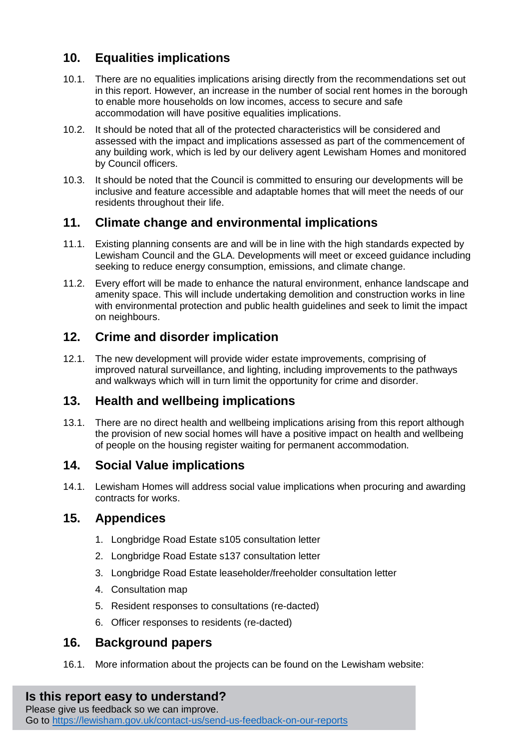# **10. Equalities implications**

- 10.1. There are no equalities implications arising directly from the recommendations set out in this report. However, an increase in the number of social rent homes in the borough to enable more households on low incomes, access to secure and safe accommodation will have positive equalities implications.
- 10.2. It should be noted that all of the protected characteristics will be considered and assessed with the impact and implications assessed as part of the commencement of any building work, which is led by our delivery agent Lewisham Homes and monitored by Council officers.
- 10.3. It should be noted that the Council is committed to ensuring our developments will be inclusive and feature accessible and adaptable homes that will meet the needs of our residents throughout their life.

## **11. Climate change and environmental implications**

- 11.1. Existing planning consents are and will be in line with the high standards expected by Lewisham Council and the GLA. Developments will meet or exceed guidance including seeking to reduce energy consumption, emissions, and climate change.
- 11.2. Every effort will be made to enhance the natural environment, enhance landscape and amenity space. This will include undertaking demolition and construction works in line with environmental protection and public health guidelines and seek to limit the impact on neighbours.

## **12. Crime and disorder implication**

12.1. The new development will provide wider estate improvements, comprising of improved natural surveillance, and lighting, including improvements to the pathways and walkways which will in turn limit the opportunity for crime and disorder.

# **13. Health and wellbeing implications**

13.1. There are no direct health and wellbeing implications arising from this report although the provision of new social homes will have a positive impact on health and wellbeing of people on the housing register waiting for permanent accommodation.

## **14. Social Value implications**

14.1. Lewisham Homes will address social value implications when procuring and awarding contracts for works.

## **15. Appendices**

- 1. Longbridge Road Estate s105 consultation letter
- 2. Longbridge Road Estate s137 consultation letter
- 3. Longbridge Road Estate leaseholder/freeholder consultation letter
- 4. Consultation map
- 5. Resident responses to consultations (re-dacted)
- 6. Officer responses to residents (re-dacted)

## **16. Background papers**

16.1. More information about the projects can be found on the Lewisham website:

## **Is this report easy to understand?**